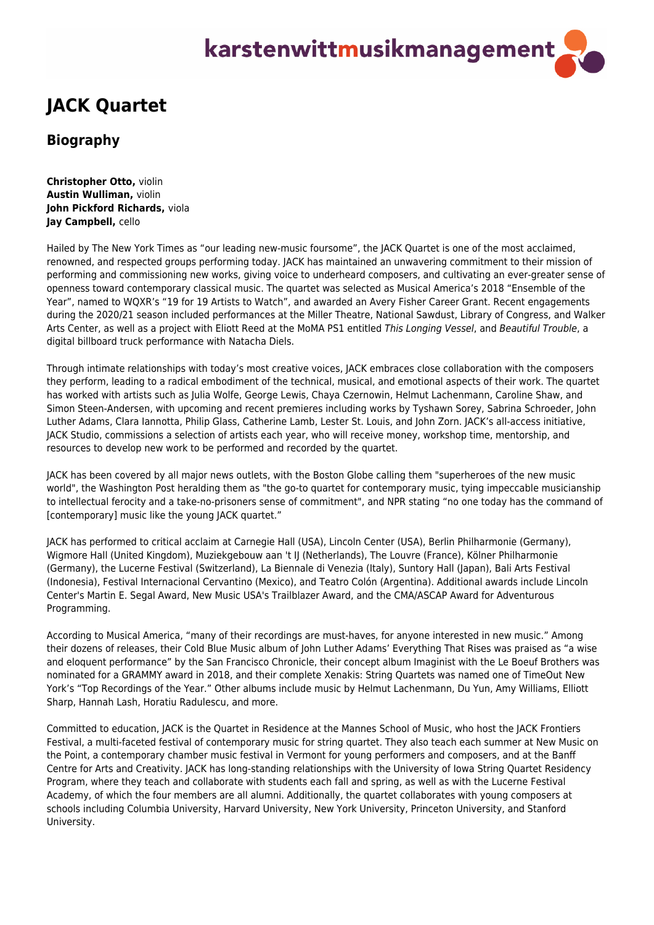## karstenwittmusikmanagement

## **JACK Quartet**

## **Biography**

**Christopher Otto,** violin **Austin Wulliman,** violin **John Pickford Richards,** viola **Jay Campbell,** cello

Hailed by The New York Times as "our leading new-music foursome", the JACK Quartet is one of the most acclaimed, renowned, and respected groups performing today. JACK has maintained an unwavering commitment to their mission of performing and commissioning new works, giving voice to underheard composers, and cultivating an ever-greater sense of openness toward contemporary classical music. The quartet was selected as Musical America's 2018 "Ensemble of the Year", named to WQXR's "19 for 19 Artists to Watch", and awarded an Avery Fisher Career Grant. Recent engagements during the 2020/21 season included performances at the Miller Theatre, National Sawdust, Library of Congress, and Walker Arts Center, as well as a project with Eliott Reed at the MoMA PS1 entitled This Longing Vessel, and Beautiful Trouble, a digital billboard truck performance with Natacha Diels.

Through intimate relationships with today's most creative voices, JACK embraces close collaboration with the composers they perform, leading to a radical embodiment of the technical, musical, and emotional aspects of their work. The quartet has worked with artists such as Julia Wolfe, George Lewis, Chaya Czernowin, Helmut Lachenmann, Caroline Shaw, and Simon Steen-Andersen, with upcoming and recent premieres including works by Tyshawn Sorey, Sabrina Schroeder, John Luther Adams, Clara Iannotta, Philip Glass, Catherine Lamb, Lester St. Louis, and John Zorn. JACK's all-access initiative, JACK Studio, commissions a selection of artists each year, who will receive money, workshop time, mentorship, and resources to develop new work to be performed and recorded by the quartet.

JACK has been covered by all major news outlets, with the Boston Globe calling them "superheroes of the new music world", the Washington Post heralding them as "the go-to quartet for contemporary music, tying impeccable musicianship to intellectual ferocity and a take-no-prisoners sense of commitment", and NPR stating "no one today has the command of [contemporary] music like the young JACK quartet."

JACK has performed to critical acclaim at Carnegie Hall (USA), Lincoln Center (USA), Berlin Philharmonie (Germany), Wigmore Hall (United Kingdom), Muziekgebouw aan 't IJ (Netherlands), The Louvre (France), Kölner Philharmonie (Germany), the Lucerne Festival (Switzerland), La Biennale di Venezia (Italy), Suntory Hall (Japan), Bali Arts Festival (Indonesia), Festival Internacional Cervantino (Mexico), and Teatro Colón (Argentina). Additional awards include Lincoln Center's Martin E. Segal Award, New Music USA's Trailblazer Award, and the CMA/ASCAP Award for Adventurous Programming.

According to Musical America, "many of their recordings are must-haves, for anyone interested in new music." Among their dozens of releases, their Cold Blue Music album of John Luther Adams' Everything That Rises was praised as "a wise and eloquent performance" by the San Francisco Chronicle, their concept album Imaginist with the Le Boeuf Brothers was nominated for a GRAMMY award in 2018, and their complete Xenakis: String Quartets was named one of TimeOut New York's "Top Recordings of the Year." Other albums include music by Helmut Lachenmann, Du Yun, Amy Williams, Elliott Sharp, Hannah Lash, Horatiu Radulescu, and more.

Committed to education, JACK is the Quartet in Residence at the Mannes School of Music, who host the JACK Frontiers Festival, a multi-faceted festival of contemporary music for string quartet. They also teach each summer at New Music on the Point, a contemporary chamber music festival in Vermont for young performers and composers, and at the Banff Centre for Arts and Creativity. JACK has long-standing relationships with the University of Iowa String Quartet Residency Program, where they teach and collaborate with students each fall and spring, as well as with the Lucerne Festival Academy, of which the four members are all alumni. Additionally, the quartet collaborates with young composers at schools including Columbia University, Harvard University, New York University, Princeton University, and Stanford University.